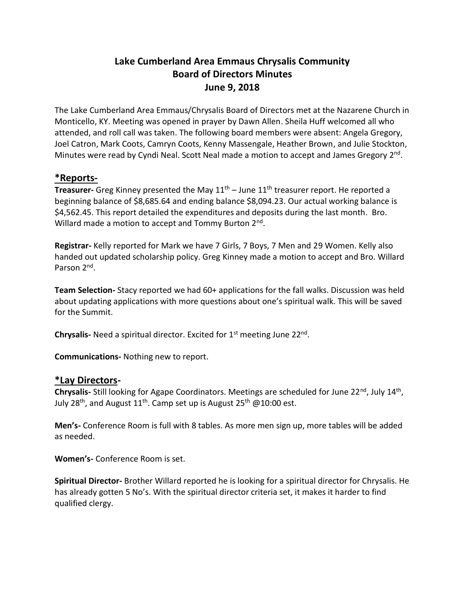# **Lake Cumberland Area Emmaus Chrysalis Community Board of Directors Minutes June 9, 2018**

The Lake Cumberland Area Emmaus/Chrysalis Board of Directors met at the Nazarene Church in Monticello, KY. Meeting was opened in prayer by Dawn Allen. Sheila Huff welcomed all who attended, and roll call was taken. The following board members were absent: Angela Gregory, Joel Catron, Mark Coots, Camryn Coots, Kenny Massengale, Heather Brown, and Julie Stockton, Minutes were read by Cyndi Neal. Scott Neal made a motion to accept and James Gregory 2<sup>nd</sup>.

## **\*Reports-**

**Treasurer-** Greg Kinney presented the May 11<sup>th</sup> – June 11<sup>th</sup> treasurer report. He reported a beginning balance of \$8,685.64 and ending balance \$8,094.23. Our actual working balance is \$4,562.45. This report detailed the expenditures and deposits during the last month. Bro. Willard made a motion to accept and Tommy Burton 2<sup>nd</sup>.

**Registrar-** Kelly reported for Mark we have 7 Girls, 7 Boys, 7 Men and 29 Women. Kelly also handed out updated scholarship policy. Greg Kinney made a motion to accept and Bro. Willard Parson 2<sup>nd</sup>.

**Team Selection-** Stacy reported we had 60+ applications for the fall walks. Discussion was held about updating applications with more questions about one's spiritual walk. This will be saved for the Summit.

Chrysalis- Need a spiritual director. Excited for 1<sup>st</sup> meeting June 22<sup>nd</sup>.

**Communications-** Nothing new to report.

#### **\*Lay Directors-**

Chrysalis- Still looking for Agape Coordinators. Meetings are scheduled for June 22<sup>nd</sup>, July 14<sup>th</sup>, July 28<sup>th</sup>, and August 11<sup>th</sup>. Camp set up is August 25<sup>th</sup> @10:00 est.

**Men's-** Conference Room is full with 8 tables. As more men sign up, more tables will be added as needed.

**Women's-** Conference Room is set.

**Spiritual Director-** Brother Willard reported he is looking for a spiritual director for Chrysalis. He has already gotten 5 No's. With the spiritual director criteria set, it makes it harder to find qualified clergy.